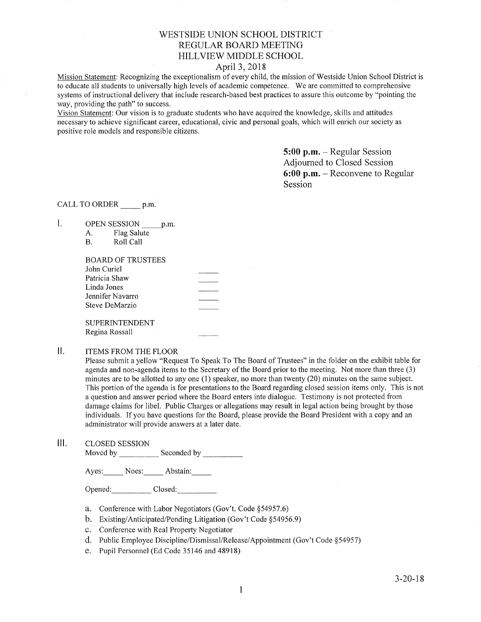# WESTSIDE UNION SCHOOL DISTRICT REGULAR BOARD MEETING HILLVIEW MIDDLE SCHOOL

## April 3,2018

Mission Statement: Recognizing the exceptionalism of every child, the mission of Westside Union School District is to educate all students to universally high levels of academic competence. We are commilted to comprehensive systems of instructional delivery that include research-based best practices to assure this outcome by "pointing the way, providing the path" to success.

Vision Statement: Our vision is to graduate students who have acquired the knowledge, skills and attitudes necessary to achieve significant career, educational, civic and personal goals, which will enrich our society as positive role models and responsible citizens.

> 5:00 p.m. - Regular Session Adjourned to Closed Session 6:00 p.m. - Reconvene to Regular Session

CALL TO ORDER \_\_\_\_\_\_ p.m.

 $\mathbf{I}$ . OPEN SESSION p.m.

| Flag Salute |
|-------------|
|             |

| BOARD OF TRUSTEES |  |
|-------------------|--|
| John Curiel       |  |
| Patricia Shaw     |  |
| Linda Jones       |  |
| Jennifer Navarro  |  |
| Steve DeMarzio    |  |
|                   |  |
| SUPERINTENDENT    |  |

Regina Rossall

# II. ITEMS FROM THE FLOOR

Please submit a yellow "Request To Speak To The Board of Trustees" in the folder on the exhibit table for agenda and non-agenda items to the Secretary of the Board prior to the meeting. Not more than three (3) minutes are to be allotted to any one  $(1)$  speaker, no more than twenty  $(20)$  minutes on the same subject. This portion of the agenda is for presentations to the Board regarding closed session items only. This is not a question and answer period where the Board enters into dialogue. Testimony is not protected from damage claims for libel. Public Charges or allegations may result in legal action being brought by those individuals. If you have questions for the Board, please provide the Board President with a copy and an administrator will provide answers at a later date.

#### CLOSED SESSION ilt

Moved by \_\_\_\_\_\_\_\_\_\_\_\_ Seconded by \_

Ayes: Noes: Abstain:

Opened: Closed:

- a. Conference with Labor Negotiators (Gov't. Code \$54957.6)
- b. Existing/Anticipated/Pending Litigation (Gov't Code \$54956.9)
- c. Conference with Real Property Negotiator
- d. Public Employee Discipline/Dismissal/Release/Appointment (Gov't Code \$54957)
- e. Pupil Personnel (Ed Code 35146 and 48918)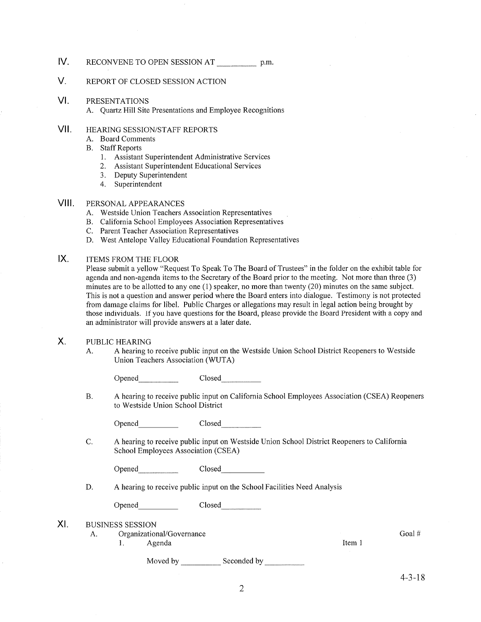- IV RECONVENE TO OPEN SESSION AT p.m.
- V. REPORT OF CLOSED SESSION ACTION
- VI PRESENTATIONS
	- A. Quartz Hill Site Presentations and Employee Recognitions
- vil HEARING SESSION/STAFF REPORTS
	- A. Board Comments
	- B. Staff Reports
		- 1. Assistant Superintendent Administrative Services
		- 2. Assistant Superintendent Educational Services
		- 3. Deputy Superintendent
		- 4. Superintendent

#### VIII. PERSONAL APPEARANCES

- A. Westside Union Teachers Association Representatives
- B. California School Employees Association Representatives C. Parent Teacher Association Representatives
- 
- D. West Antelope Valley Educational Foundation Representatives

#### IX ITEMS FROM THE FLOOR

Please submit a yellow "Request To Speak To The Board of Trustees" in the folder on the exhibit table for agenda and non-agenda items to the Secretary of the Board prior to the meeting. Not more than three (3) minutes are to be allotted to any one (1) speaker, no more than twenty (20) minutes on the same subject. This is not a question and answer period where the Board enters into dialogue. Testimony is not protected from damage claims for libel. Public Charges or allegations may result in legal action being brought by those individuals. If you have questions for the Board, please provide the Board President with a copy and an administrator will provide answers at a later date.

#### X. PUBLIC HEARING

A. A hearing to receive public input on the Westside Union School District Reopeners to Westside Union Teachers Association (WUTA)

Closed **Opened Contract Contract Contract Contract Contract Contract Contract Contract Contract Contract Contract Contract Contract Contract Contract Contract Contract Contract Contract Contract Contract Contract Contract Contr** 

A hearing to receive public input on California School Employees Association (CSEA) Reopeners to Westside Union School District B

Opened Closed

<sup>C</sup> A hearing to receive public input on Westside Union School District Reopeners to California School Employees Association (CSEA)

| Opened | Closed |
|--------|--------|
|        | $\sim$ |
|        |        |

D. A hearing to receive public input on the School Facilities Need Analysis

Opened Closed

- BUSINESS SESSION XI
	- A. Organizational/Governance l. Agenda
		-

Moved by \_\_\_\_\_\_\_\_\_\_\_\_\_ Seconded by

Goal #

Item I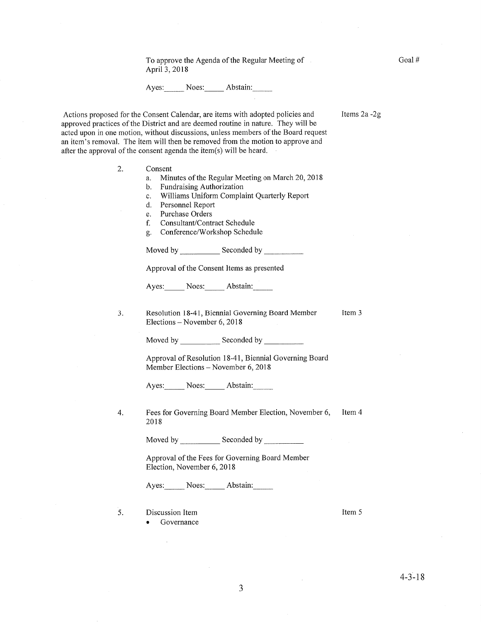To approve the Agenda of the Regular Meeting of April3,20l8

Ayes: Noes: Abstain:

Items 2a -2g

Actions proposed for the Consent Calendar, are items with adopted policies and approved practices of the District and are deemed routine in nature. They will be acted upon in one motion, without discussions, unless members of the Board request an item's removal. The item will then be removed from the motion to approve and after the approval of the consent agenda the item(s) will be heard.

> Consent 2.

 $3.$ 

- a. Minutes of the Regular Meeting on March 20, 2018<br>b. Fundraising Authorization
- 
- c. Williams Uniform Complaint Quarterly Report d. Personnel Report
- 
- e. Purchase Orders
- f. Consultant/Contract Schedule
- g. Conference/Workshop Schedule

Moved by \_\_\_\_\_\_\_\_\_\_\_\_\_ Seconded by

Approval of the Consent Items as presented

Ayes: Noes: Abstain:

Resolution 18-41, Biennial Governing Board Member Elections - November 6,2018 Item 3

Moved bv Seconded by

Approval of Resolution 18-41, Biennial Governing Board Member Elections - November 6, 2018

Ayes: Noes: Abstain:

4. Fees for Governing Board Member Election, November 6, Item 4 2018

Moved by \_\_\_\_\_\_\_\_\_\_\_\_\_ Seconded by

Approval of the Fees for Governing Board Member Election, November 6, 2018

Ayes: Noes: Abstain:

Discussion Item 5

. Governance

Item <sup>5</sup>

 $\bar{z}$ 

Goal #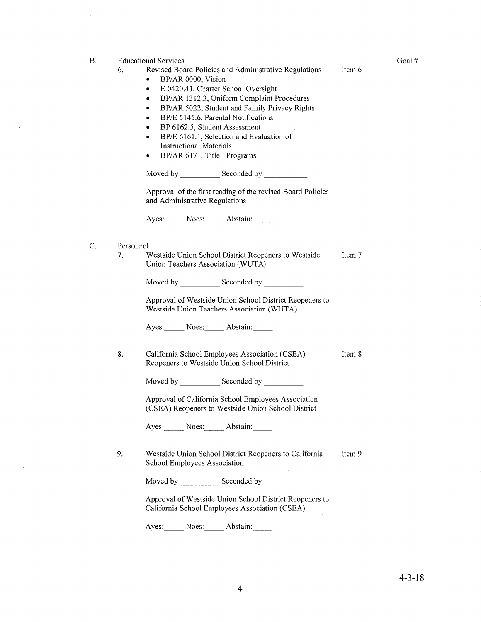| В. | 6.              | <b>Educational Services</b><br>Revised Board Policies and Administrative Regulations<br>BP/AR 0000, Vision<br>E 0420.41, Charter School Oversight<br>٠<br>BP/AR 1312.3, Uniform Complaint Procedures<br>$\bullet$<br>BP/AR 5022, Student and Family Privacy Rights<br>$\bullet$<br>BP/E 5145.6, Parental Notifications<br>٠<br>BP 6162.5, Student Assessment<br>$\bullet$<br>BP/E 6161.1, Selection and Evaluation of<br>٠<br><b>Instructional Materials</b><br>BP/AR 6171, Title I Programs<br>٠<br>Approval of the first reading of the revised Board Policies<br>and Administrative Regulations<br>Ayes: Noes: Abstain: | Item 6 |
|----|-----------------|----------------------------------------------------------------------------------------------------------------------------------------------------------------------------------------------------------------------------------------------------------------------------------------------------------------------------------------------------------------------------------------------------------------------------------------------------------------------------------------------------------------------------------------------------------------------------------------------------------------------------|--------|
| C. | Personnel<br>7. | Westside Union School District Reopeners to Westside<br>Union Teachers Association (WUTA)<br>Moved by _________________ Seconded by _____________<br>Approval of Westside Union School District Reopeners to<br>Westside Union Teachers Association (WUTA)<br>Ayes: Noes: Abstain:                                                                                                                                                                                                                                                                                                                                         | Item 7 |
|    | 8.              | California School Employees Association (CSEA)<br>Reopeners to Westside Union School District<br>Approval of California School Employees Association<br>(CSEA) Reopeners to Westside Union School District<br>Ayes: Noes: Abstain:                                                                                                                                                                                                                                                                                                                                                                                         | Item 8 |
|    | 9.              | Westside Union School District Reopeners to California<br>School Employees Association<br>Approval of Westside Union School District Reopeners to<br>California School Employees Association (CSEA)                                                                                                                                                                                                                                                                                                                                                                                                                        | Item 9 |

 $\sim 10^{-10}$ 

 $\mathcal{A}^{\pm}$ 

Ayes: Noes: Abstain:

Goal #

 $\hat{\mathcal{L}}$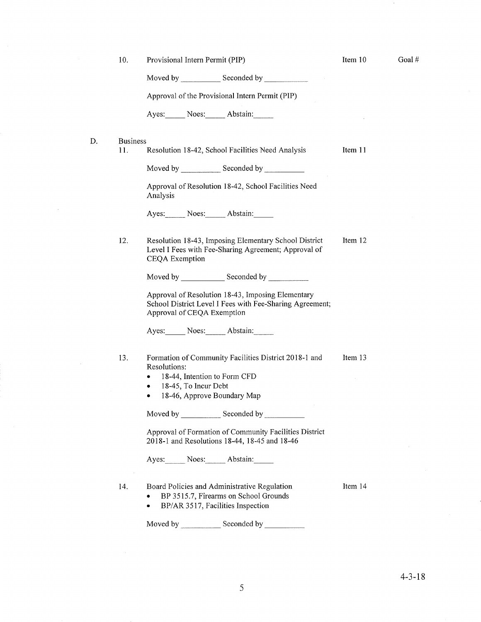|    | 10.                                                                                                     | Provisional Intern Permit (PIP)                                                                                                                                                                                               | Item 10 | Goal# |
|----|---------------------------------------------------------------------------------------------------------|-------------------------------------------------------------------------------------------------------------------------------------------------------------------------------------------------------------------------------|---------|-------|
|    |                                                                                                         | Moved by Seconded by Seconded by                                                                                                                                                                                              |         |       |
|    | Approval of the Provisional Intern Permit (PIP)                                                         |                                                                                                                                                                                                                               |         |       |
|    |                                                                                                         | Ayes: Noes: Abstain:                                                                                                                                                                                                          |         |       |
| D. | <b>Business</b>                                                                                         |                                                                                                                                                                                                                               |         |       |
|    | 11.                                                                                                     | Resolution 18-42, School Facilities Need Analysis                                                                                                                                                                             | Item 11 |       |
|    |                                                                                                         |                                                                                                                                                                                                                               |         |       |
|    |                                                                                                         | Approval of Resolution 18-42, School Facilities Need<br>Analysis                                                                                                                                                              |         |       |
|    |                                                                                                         | Ayes: Noes: Abstain:                                                                                                                                                                                                          |         |       |
|    | 12.                                                                                                     | Resolution 18-43, Imposing Elementary School District<br>Level I Fees with Fee-Sharing Agreement; Approval of<br>CEQA Exemption                                                                                               | Item 12 |       |
|    |                                                                                                         |                                                                                                                                                                                                                               |         |       |
|    |                                                                                                         | Approval of Resolution 18-43, Imposing Elementary<br>School District Level I Fees with Fee-Sharing Agreement;<br>Approval of CEQA Exemption                                                                                   |         |       |
|    |                                                                                                         | Ayes: Noes: Abstain:                                                                                                                                                                                                          |         |       |
|    | 13.                                                                                                     | Formation of Community Facilities District 2018-1 and<br>Resolutions:<br>18-44, Intention to Form CFD<br>18-45, To Incur Debt<br>٠<br>18-46, Approve Boundary Map<br>٠                                                        | Item 13 |       |
|    |                                                                                                         | Moved by Seconded by Seconded by Seconded by Seconded by Seconded by Seconded by Seconded by Seconded by Seconded by Seconded by Seconded by Seconded by Seconded by Seconded by Seconded by Seconded by Seconded by Seconded |         |       |
|    | Approval of Formation of Community Facilities District<br>2018-1 and Resolutions 18-44, 18-45 and 18-46 |                                                                                                                                                                                                                               |         |       |
|    |                                                                                                         | Ayes: Noes: Abstain:                                                                                                                                                                                                          |         |       |
|    | 14.                                                                                                     | Board Policies and Administrative Regulation<br>BP 3515.7, Firearms on School Grounds<br>BP/AR 3517, Facilities Inspection<br>$\bullet$                                                                                       | Item 14 |       |
|    |                                                                                                         | Moved by ________________ Seconded by ___________                                                                                                                                                                             |         |       |

 $\mathcal{A}^{\mathcal{A}}$ 

 $\mathcal{F}$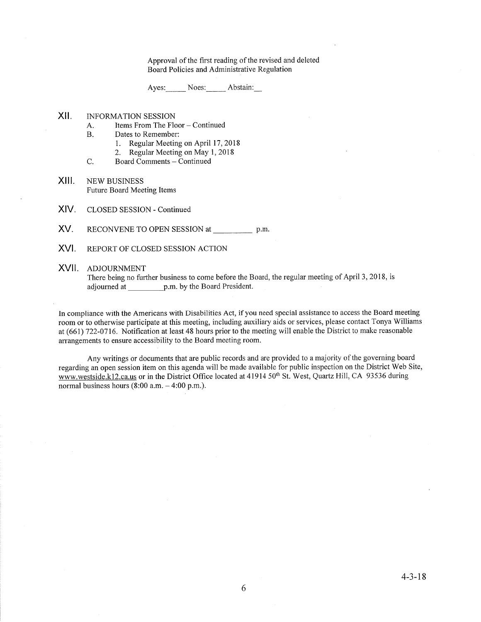Approval of the first reading of the revised and deleted Board Policies and Administrative Regulation

Ayes: Noes: Abstain:

- xil INFORMATION SESSION
	- A. Items From The Floor Continued<br>B. Dates to Remember:
	- -
	- 1. Regular Meeting on April 17, 2018<br>2. Regular Meeting on May 1, 2018<br>C. Board Comments Continued
	-
- XIII. NEW BUSINESS Future Board Meeting Items
- CLOSED SESSION Continued XIV.
- RECONVENE TO OPEN SESSION at \_\_\_\_\_\_\_\_\_\_\_\_\_\_\_\_\_\_ p.m XV.
- REPORT OF CLOSED SESSION ACTION XVI.

### XVII. adjournment

There being no further business to come before the Board, the regular meeting of April 3, 2018, is adjourned at \_\_\_\_\_\_\_\_\_\_\_\_\_\_\_\_\_\_p.m. by the Board President.

In compliance with the Americans with Disabilities Act, if you need special assistance to access the Board meeting room or to otherwise participate at this meeting, including auxiliary aids or services, please contact Tonya Williams at (661) 722-0716. Notification at least 48 hours prior to the meeting will enable the District to make reasonable arrangements to ensure accessibility to the Board meeting room.

Any writings or documents that are public records and are provided to a majority of the governing board regarding an open session item on this agenda will be made available for public inspection on the District Web Site, www.westside.k12.ca.us or in the District Office located at 41914 50<sup>th</sup> St. West, Quartz Hill, CA 93536 during normal business hours  $(8:00 a.m. - 4:00 p.m.).$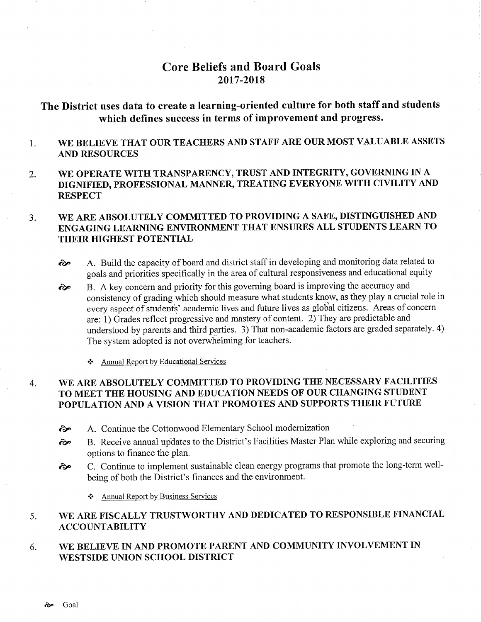# Core Beliefs and Board Goals 2017 -2018

# The District uses data to create a learning-oriented culture for both staff and students which defines success in terms of improvement and progress.

#### I WE BELIEVE THAT OUR TEACHERS AND STAFF ARE OUR MOST VALUABLE ASSETS AND RESOURCES

2. WE OPERATE WITH TRANSPARENCY, TRUST AND INTEGRITY, GOVERNING IN A DIGNIFIED, PROFESSIONAL MANNER, TREATING EVERYONE WITH CIVILITY AND **RESPECT** 

### WE ARE ABSOLUTELY COMMITTED TO PROVIDING A SAFE, DISTINGUISHED AND ENGAGING LEARNING ENVIRONMENT THAT ENSURES ALL STUDENTS LEARN TO THEIR HIGHEST POTENTIAL  $3<sub>1</sub>$

- èp A. Build the capacity of board and district staff in developing and monitoring data related to goals and priorities specifically in the area of cultural responsiveness and educational equity
- B. A key concern and priority for this goveming board is improving the accuracy and consistency of grading which should measure what students know, as they play a crucial role in every aspect of students' academic lives and future lives as global citizens. Areas of concern are: 1) Grades reflect progressive and mastery of content. 2) They are predictable and understood by parents and third parties. 3) That non-academic factors are graded separately. 4) The system adopted is not overwhelming for teachers. èp
	- ❖ Annual Report by Educational Services

### WE ARE ABSOLUTELY COMMITTED TO PROVIDING THE NECESSARY FACILITIES TO MEET THE HOUSING AND EDUCATION NEEDS OF OUR CHANGING STUDENT POPULATION AND A VISION THAT PROMOTES AND SUPPORTS THEIR FUTURE 4

- rèp A. Continue the Cottonwood Elementary School modemization
- ôp B. Receive annual updates to the District's Facilities Master Plan while exploring and securing options to finance the plan.
- .èp C. Continue to implement sustainable clean energy programs that promote the long-term wellbeing of both the District's finances and the environment.
	- \* Annual Report by Business Services

### WE ARE FISCALLY TRUSTWORTHY AND DEDICATED TO RESPONSIBLE FINANCIAL ACCOUNTABILITY 5.

WE BELIEVE IN AND PROMOTE PARENT AND COMMUNITY INVOLVEMENT IN WESTSIDE UNION SCHOOL DISTRICT 6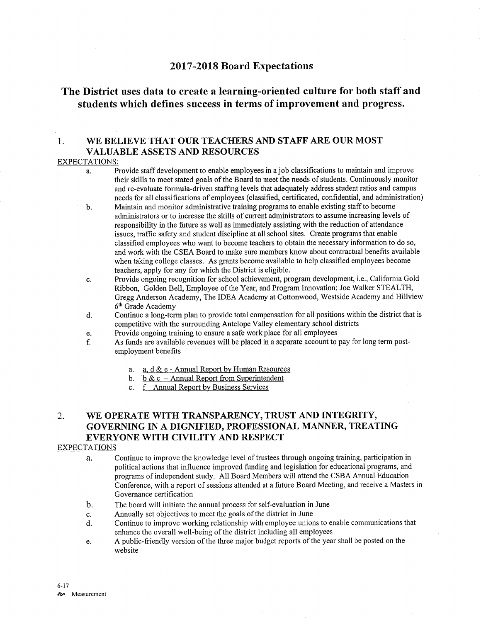# <sup>2017</sup>-2018 Board Expectations

# The District uses data to create a learning-oriented culture for both staff and students which defines success in terms of improvement and progress.

# 1. WE BELIEVE THAT OUR TEACHERS AND STAFF ARE OUR MOST VALUABLE ASSETS AND RESOURCES

## EXPECTATIONS:

- a. Provide staff development to enable employees in a job classifications to maintain and improve their skills to meet stated goals of the Board to meet the needs of students. Continuously monitor and re-evaluate formula-driven staffing levels that adequately address student ratios and campus needs for all classifications of employees (classified, certificated, confidential, and administration)
- b. Maintain and monitor administrative training programs to enable existing staff to become adminisffators or to increase the skills of current administrators to assume increasing levels of responsibility in the future as well as immediately assisting with the reduction of attendance issues, traffic safety and student discipline at all school sites. Create programs that enable classified employees who want to become teachers to obtain the necessary information to do so, and work with the CSEA Board to make sure members know about contractual benefits available when taking college classes. As grants become available to help classified employees become teachers, apply for any for which the District is eligible.
- c. Provide ongoing recognition for school achievement, program development, i.e., Califomia Gold Ribbon, Golden Bell, Employee of the Year, and Program Innovation: Joe Walker STEALTH, Gregg Anderson Academy, The IDEA Academy at Cottonwood, Westside Academy and Hillview 6th Grade Academy
- d. Continue a long-term plan to provide total compensation for all positions within the district that is competitive with the surrounding Antelope Valley elementary school districts<br>Provide ongoing training to ensure a safe work place for all employees
- 
- e. Provide ongoing training to ensure a safe work place for all employees<br>f. As funds are available revenues will be placed in a separate account to pay for long term postemployment benefits
	- a. a. d & e Annual Report by Human Resources<br>b. b & c Annual Report from Superintendent<br>c. f Annual Report by Business Services
	-
	-

# 2. WE OPERATE WITH TRANSPARENCY, TRUST AND INTEGRITY, GOVERNING IN A DIGNIFIED, PROFESSIONAL MANNER, TREATING EVERYONE WITH CIVILITY AND RESPECT

## EXPECTATIONS

- a. Continue to improve the knowledge level of trustees through ongoing training, participation in political actions that influence improved funding and legislation for educational programs, and programs of independent study. All Board Members will attend the CSBA Annual Education Conference, with a report of sessions attended at a future Board Meeting, and receive a Masters in Governance certification
- b. The board will initiate the annual process for self-evaluation in June
- 
- c. Annually set objectives to meet the goals of the district in June d. Continue to improve working relationship with employee unions to enable communications that enhance the overall well-being of the district including all employees
- e. A public-friendly version of the three major budget reports of the year shall be posted on the website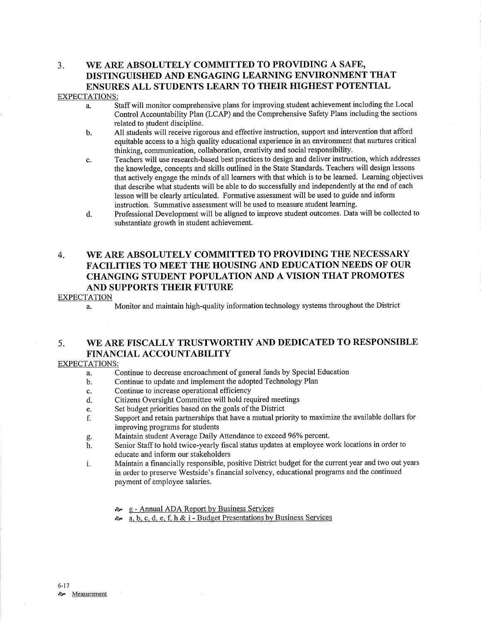# 3. WE ARE ABSOLUTELY COMMITTED TO PROVIDING A SAFE, DISTINGUISHED AND ENGAGING LEARNING ENVIRONMENT THAT ENSURES ALL STUDENTS LEARN TO THEIR HIGHEST POTENTIAL

# EXPECTATIONS:

- a. Staff will monitor comprehensive plans for improving student achievement including the Local Control Accountability Plan (LCAP) and the Comprehensive Safety Plans including the sections related to student discipline.
- b. All students will receive rigorous and effective instruction, support and intervention that afford equitable access to a high quality educational experience in an environment that nurtures critical thinking, communication, collaboration, creativiry and social responsibility.
- c. Teachers will use research-based best practices to design and deliver instruction, which addresses the knowledge, concepts and skills outlined in the State Standards. Teachers will design lessons that actively engage the minds of all learners with that which is to be learned. Leaming objectives that describe what students will be able to do successfully and independently at the end of each lesson will be clearly articulated. Formative assessment will be used to guide and inform instruction. Summative assessment will be used to measure student leaming.
- d. Professional Development witl be aligned to improve student outcomes. Data will be collected to substantiate growth in student achievement.

# 4. WE ARE ABSOLUTELY COMMITTED TO PROVIDING THE NECESSARY FACILITIES TO MEET THE HOUSING AND EDUCATION NEEDS OF OUR CHANGING STUDENT POPULATION AND A VISION THAT PROMOTES AND SUPPORTS THEIR FUTURE

## EXPECTATION

a. Monitor and maintain high-quality information technology systems throughout the District

# 5. WE ARE FISCALLY TRUSTWORTHY AND DEDICATED TO RESPONSIBLE FINANCIAL ACCOUNTABILITY

## EXPECTATIONS:

- a. Continue to decrease encroachment of general funds by Special Education
- b. Continue to update and implement the adopted Technology Plan
- c. Continue to increase operational efficiency
- d. Citizens Oversight Committee will hold required meetings
- e. Set budget priorities based on the goals of the District
- f. Support and retain partnerships that have a mutual priority to maximize the available dollars for improving programs for students<br>Maintain student Average Daily Attendance to exceed 96% percent.
- 
- g. Maintain student Average Daily Attendance to exceed 96% percent.<br>h. Senior Staff to hold twice-yearly fiscal status updates at employee work locations in order to educate and inform our stakeholders
- i. Maintain a financially responsible, positive District budget for the current year and two out years in order to preserve Westside's financial solvency, educational programs and the continued payment of employee salaries.
	- **ô** g Annual ADA Report by Business Services
	- $\lambda$  a, b, c, d, e, f, h & i Budget Presentations by Business Services